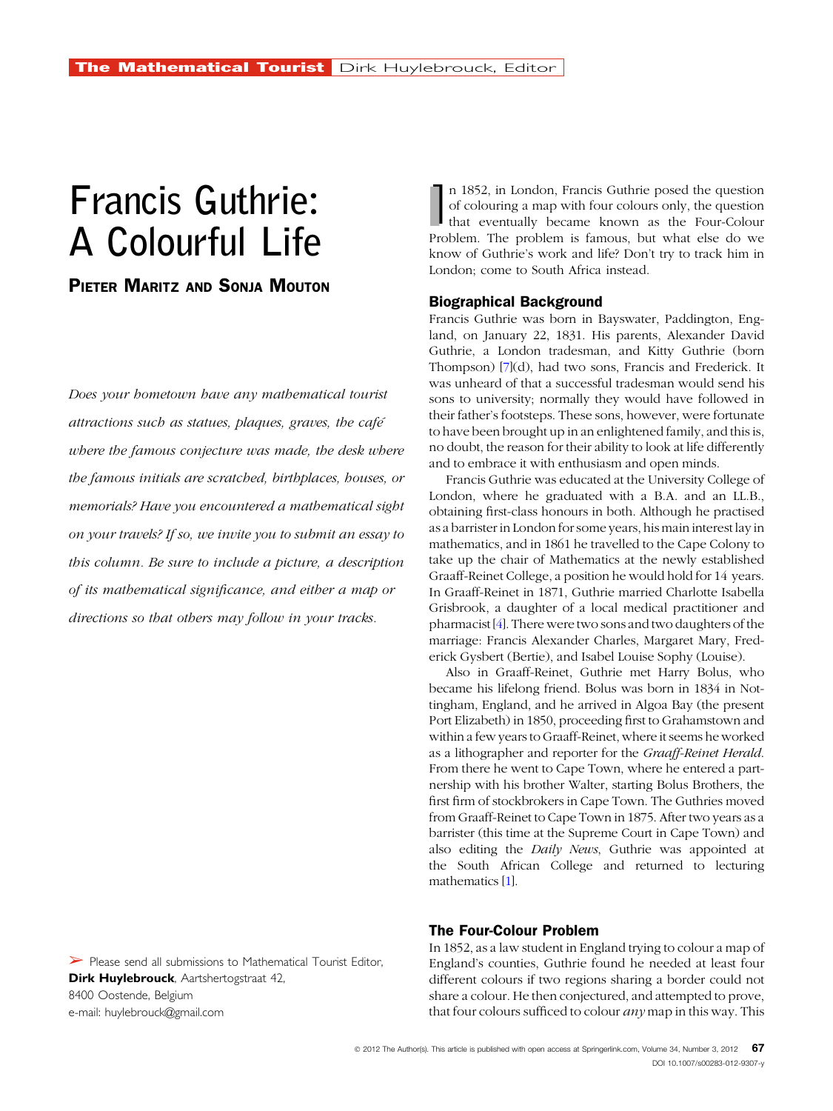# Francis Guthrie: A Colourful Life

PIETER MARITZ AND SONJA MOUTON

Does your hometown have any mathematical tourist attractions such as statues, plaques, graves, the café where the famous conjecture was made, the desk where the famous initials are scratched, birthplaces, houses, or memorials? Have you encountered a mathematical sight on your travels? If so, we invite you to submit an essay to this column. Be sure to include a picture, a description of its mathematical significance, and either a map or directions so that others may follow in your tracks.

- Please send all submissions to Mathematical Tourist Editor, Dirk Huylebrouck, Aartshertogstraat 42, 8400 Oostende, Belgium e-mail: huylebrouck@gmail.com

In 1852, in London, Francis Guthrie posed the question of colouring a map with four colours only, the question that eventually became known as the Four-Colour Problem. The problem is famous, but what else do we n 1852, in London, Francis Guthrie posed the question of colouring a map with four colours only, the question that eventually became known as the Four-Colour know of Guthrie's work and life? Don't try to track him in London; come to South Africa instead.

#### Biographical Background

Francis Guthrie was born in Bayswater, Paddington, England, on January 22, 1831. His parents, Alexander David Guthrie, a London tradesman, and Kitty Guthrie (born Thompson) [[7](#page-8-0)](d), had two sons, Francis and Frederick. It was unheard of that a successful tradesman would send his sons to university; normally they would have followed in their father's footsteps. These sons, however, were fortunate to have been brought up in an enlightened family, and this is, no doubt, the reason for their ability to look at life differently and to embrace it with enthusiasm and open minds.

Francis Guthrie was educated at the University College of London, where he graduated with a B.A. and an LL.B., obtaining first-class honours in both. Although he practised as a barrister in London for some years, his main interest lay in mathematics, and in 1861 he travelled to the Cape Colony to take up the chair of Mathematics at the newly established Graaff-Reinet College, a position he would hold for 14 years. In Graaff-Reinet in 1871, Guthrie married Charlotte Isabella Grisbrook, a daughter of a local medical practitioner and pharmacist  $[4]$  $[4]$  $[4]$ . There were two sons and two daughters of the marriage: Francis Alexander Charles, Margaret Mary, Frederick Gysbert (Bertie), and Isabel Louise Sophy (Louise).

Also in Graaff-Reinet, Guthrie met Harry Bolus, who became his lifelong friend. Bolus was born in 1834 in Nottingham, England, and he arrived in Algoa Bay (the present Port Elizabeth) in 1850, proceeding first to Grahamstown and within a few years to Graaff-Reinet, where it seems he worked as a lithographer and reporter for the Graaff-Reinet Herald. From there he went to Cape Town, where he entered a partnership with his brother Walter, starting Bolus Brothers, the first firm of stockbrokers in Cape Town. The Guthries moved from Graaff-Reinet to Cape Town in 1875. After two years as a barrister (this time at the Supreme Court in Cape Town) and also editing the Daily News, Guthrie was appointed at the South African College and returned to lecturing mathematics [\[1\]](#page-8-0).

# The Four-Colour Problem

In 1852, as a law student in England trying to colour a map of England's counties, Guthrie found he needed at least four different colours if two regions sharing a border could not share a colour. He then conjectured, and attempted to prove, that four colours sufficed to colour *any* map in this way. This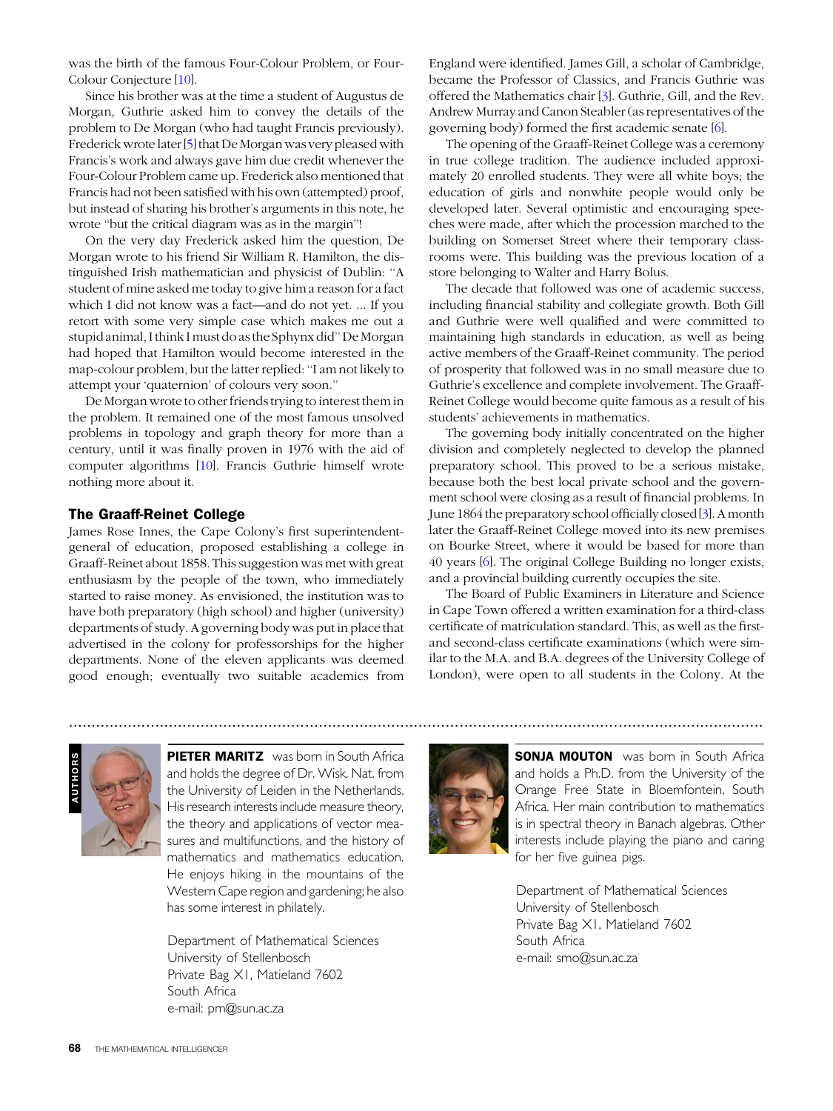was the birth of the famous Four-Colour Problem, or Four-Colour Conjecture [[10](#page-8-0)].

Since his brother was at the time a student of Augustus de Morgan, Guthrie asked him to convey the details of the problem to De Morgan (who had taught Francis previously). Frederick wrote later [\[5\]](#page-8-0) that De Morgan was very pleased with Francis's work and always gave him due credit whenever the Four-Colour Problem came up. Frederick also mentioned that Francishad not been satisfied with his own (attempted) proof, but instead of sharing his brother's arguments in this note, he wrote ''but the critical diagram was as in the margin''!

On the very day Frederick asked him the question, De Morgan wrote to his friend Sir William R. Hamilton, the distinguished Irish mathematician and physicist of Dublin: ''A student of mine asked me today to give him a reason for a fact which I did not know was a fact—and do not yet. ... If you retort with some very simple case which makes me out a stupid animal, I think I must do as the Sphynx did" De Morgan had hoped that Hamilton would become interested in the map-colour problem, but the latter replied: ''I am not likely to attempt your 'quaternion' of colours very soon.''

De Morgan wrote to other friends trying to interest them in the problem. It remained one of the most famous unsolved problems in topology and graph theory for more than a century, until it was finally proven in 1976 with the aid of computer algorithms [\[10\]](#page-8-0). Francis Guthrie himself wrote nothing more about it.

# The Graaff-Reinet College

James Rose Innes, the Cape Colony's first superintendentgeneral of education, proposed establishing a college in Graaff-Reinet about 1858.This suggestion was met with great enthusiasm by the people of the town, who immediately started to raise money. As envisioned, the institution was to have both preparatory (high school) and higher (university) departments of study. A governing body was put in place that advertised in the colony for professorships for the higher departments. None of the eleven applicants was deemed good enough; eventually two suitable academics from

England were identified. James Gill, a scholar of Cambridge, became the Professor of Classics, and Francis Guthrie was offered the Mathematics chair [\[3\]](#page-8-0). Guthrie, Gill, and the Rev. Andrew Murray and Canon Steabler (as representatives of the governing body) formed the first academic senate [\[6](#page-8-0)].

The opening of the Graaff-Reinet College was a ceremony in true college tradition. The audience included approximately 20 enrolled students. They were all white boys; the education of girls and nonwhite people would only be developed later. Several optimistic and encouraging speeches were made, after which the procession marched to the building on Somerset Street where their temporary classrooms were. This building was the previous location of a store belonging to Walter and Harry Bolus.

The decade that followed was one of academic success, including financial stability and collegiate growth. Both Gill and Guthrie were well qualified and were committed to maintaining high standards in education, as well as being active members of the Graaff-Reinet community. The period of prosperity that followed was in no small measure due to Guthrie's excellence and complete involvement. The Graaff-Reinet College would become quite famous as a result of his students' achievements in mathematics.

The governing body initially concentrated on the higher division and completely neglected to develop the planned preparatory school. This proved to be a serious mistake, because both the best local private school and the government school were closing as a result of financial problems. In June 1864 the preparatory school officially closed [[3](#page-8-0)]. A month later the Graaff-Reinet College moved into its new premises on Bourke Street, where it would be based for more than 40 years [\[6](#page-8-0)]. The original College Building no longer exists, and a provincial building currently occupies the site.

The Board of Public Examiners in Literature and Science in Cape Town offered a written examination for a third-class certificate of matriculation standard. This, as well as the firstand second-class certificate examinations (which were similar to the M.A. and B.A. degrees of the University College of London), were open to all students in the Colony. At the

.........................................................................................................................................................



PIETER MARITZ was born in South Africa and holds the degree of Dr. Wisk. Nat. from the University of Leiden in the Netherlands. His research interests include measure theory, the theory and applications of vector measures and multifunctions, and the history of mathematics and mathematics education. He enjoys hiking in the mountains of the Western Cape region and gardening; he also has some interest in philately.

Department of Mathematical Sciences University of Stellenbosch Private Bag X1, Matieland 7602 South Africa e-mail: pm@sun.ac.za



**SONJA MOUTON** was born in South Africa and holds a Ph.D. from the University of the Orange Free State in Bloemfontein, South Africa. Her main contribution to mathematics is in spectral theory in Banach algebras. Other interests include playing the piano and caring for her five guinea pigs.

Department of Mathematical Sciences University of Stellenbosch Private Bag X1, Matieland 7602 South Africa e-mail: smo@sun.ac.za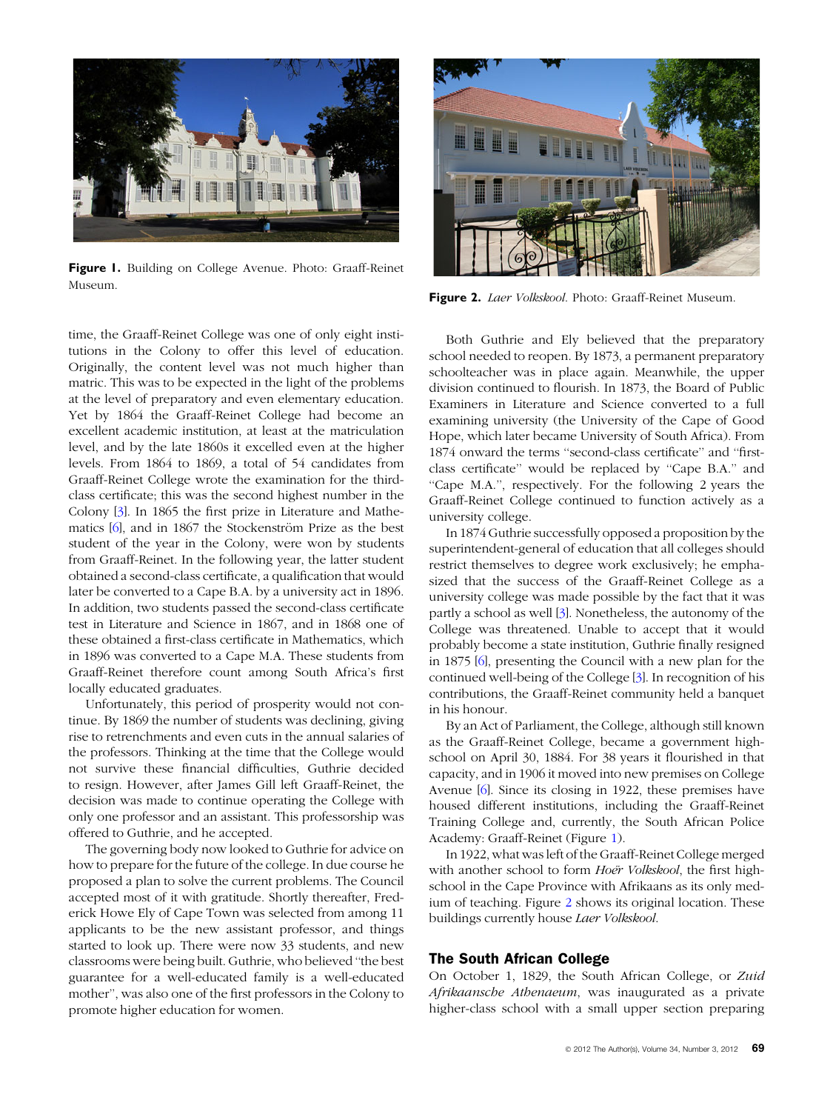

Figure 1. Building on College Avenue. Photo: Graaff-Reinet Museum.

time, the Graaff-Reinet College was one of only eight institutions in the Colony to offer this level of education. Originally, the content level was not much higher than matric. This was to be expected in the light of the problems at the level of preparatory and even elementary education. Yet by 1864 the Graaff-Reinet College had become an excellent academic institution, at least at the matriculation level, and by the late 1860s it excelled even at the higher levels. From 1864 to 1869, a total of 54 candidates from Graaff-Reinet College wrote the examination for the thirdclass certificate; this was the second highest number in the Colony [[3](#page-8-0)]. In 1865 the first prize in Literature and Mathematics  $[6]$ , and in 1867 the Stockenström Prize as the best student of the year in the Colony, were won by students from Graaff-Reinet. In the following year, the latter student obtained a second-class certificate, a qualification that would later be converted to a Cape B.A. by a university act in 1896. In addition, two students passed the second-class certificate test in Literature and Science in 1867, and in 1868 one of these obtained a first-class certificate in Mathematics, which in 1896 was converted to a Cape M.A. These students from Graaff-Reinet therefore count among South Africa's first locally educated graduates.

Unfortunately, this period of prosperity would not continue. By 1869 the number of students was declining, giving rise to retrenchments and even cuts in the annual salaries of the professors. Thinking at the time that the College would not survive these financial difficulties, Guthrie decided to resign. However, after James Gill left Graaff-Reinet, the decision was made to continue operating the College with only one professor and an assistant. This professorship was offered to Guthrie, and he accepted.

The governing body now looked to Guthrie for advice on how to prepare for the future of the college. In due course he proposed a plan to solve the current problems. The Council accepted most of it with gratitude. Shortly thereafter, Frederick Howe Ely of Cape Town was selected from among 11 applicants to be the new assistant professor, and things started to look up. There were now 33 students, and new classrooms were being built. Guthrie, who believed ''the best guarantee for a well-educated family is a well-educated mother'', was also one of the first professors in the Colony to promote higher education for women.



Figure 2. Laer Volkskool. Photo: Graaff-Reinet Museum.

Both Guthrie and Ely believed that the preparatory school needed to reopen. By 1873, a permanent preparatory schoolteacher was in place again. Meanwhile, the upper division continued to flourish. In 1873, the Board of Public Examiners in Literature and Science converted to a full examining university (the University of the Cape of Good Hope, which later became University of South Africa). From 1874 onward the terms ''second-class certificate'' and ''firstclass certificate'' would be replaced by ''Cape B.A.'' and ''Cape M.A.'', respectively. For the following 2 years the Graaff-Reinet College continued to function actively as a university college.

In 1874 Guthrie successfully opposed a proposition by the superintendent-general of education that all colleges should restrict themselves to degree work exclusively; he emphasized that the success of the Graaff-Reinet College as a university college was made possible by the fact that it was partly a school as well [[3](#page-8-0)]. Nonetheless, the autonomy of the College was threatened. Unable to accept that it would probably become a state institution, Guthrie finally resigned in 1875 [[6\]](#page-8-0), presenting the Council with a new plan for the continued well-being of the College [\[3\]](#page-8-0). In recognition of his contributions, the Graaff-Reinet community held a banquet in his honour.

By an Act of Parliament, the College, although still known as the Graaff-Reinet College, became a government highschool on April 30, 1884. For 38 years it flourished in that capacity, and in 1906 it moved into new premises on College Avenue [[6](#page-8-0)]. Since its closing in 1922, these premises have housed different institutions, including the Graaff-Reinet Training College and, currently, the South African Police Academy: Graaff-Reinet (Figure 1).

In 1922, what was left of the Graaff-Reinet College merged with another school to form Hoër Volkskool, the first highschool in the Cape Province with Afrikaans as its only medium of teaching. Figure 2 shows its original location. These buildings currently house Laer Volkskool.

# The South African College

On October 1, 1829, the South African College, or Zuid Afrikaansche Athenaeum, was inaugurated as a private higher-class school with a small upper section preparing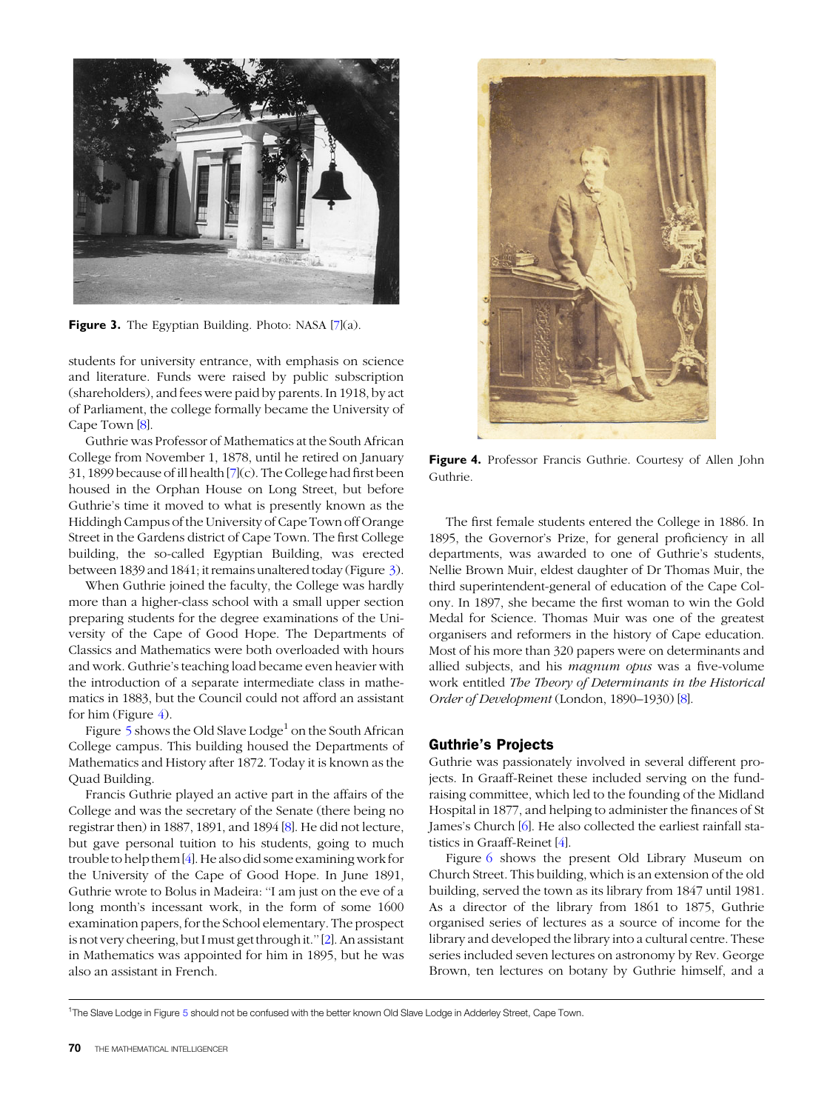

Figure 3. The Egyptian Building. Photo: NASA [[7](#page-8-0)](a).

students for university entrance, with emphasis on science and literature. Funds were raised by public subscription (shareholders), and fees were paid by parents. In 1918, by act of Parliament, the college formally became the University of Cape Town [[8\]](#page-8-0).

Guthrie was Professor of Mathematics at the South African College from November 1, 1878, until he retired on January 31, 1899 because of ill health  $[7]$  $[7]$ (c). The College had first been housed in the Orphan House on Long Street, but before Guthrie's time it moved to what is presently known as the Hiddingh Campus of the University of Cape Town off Orange Street in the Gardens district of Cape Town. The first College building, the so-called Egyptian Building, was erected between 1839 and 1841; it remains unaltered today (Figure 3).

When Guthrie joined the faculty, the College was hardly more than a higher-class school with a small upper section preparing students for the degree examinations of the University of the Cape of Good Hope. The Departments of Classics and Mathematics were both overloaded with hours and work. Guthrie's teaching load became even heavier with the introduction of a separate intermediate class in mathematics in 1883, but the Council could not afford an assistant for him (Figure  $4$ ).

Figure  $5$  shows the Old Slave Lodge<sup>1</sup> on the South African College campus. This building housed the Departments of Mathematics and History after 1872. Today it is known as the Quad Building.

Francis Guthrie played an active part in the affairs of the College and was the secretary of the Senate (there being no registrar then) in 1887, 1891, and 1894 [\[8\]](#page-8-0). He did not lecture, but gave personal tuition to his students, going to much trouble to help them [\[4\]](#page-8-0). He also did some examining work for the University of the Cape of Good Hope. In June 1891, Guthrie wrote to Bolus in Madeira: ''I am just on the eve of a long month's incessant work, in the form of some 1600 examination papers, for the School elementary. The prospect is not very cheering, but I must get through it."[\[2\]](#page-8-0). An assistant in Mathematics was appointed for him in 1895, but he was also an assistant in French.



Figure 4. Professor Francis Guthrie. Courtesy of Allen John Guthrie.

The first female students entered the College in 1886. In 1895, the Governor's Prize, for general proficiency in all departments, was awarded to one of Guthrie's students, Nellie Brown Muir, eldest daughter of Dr Thomas Muir, the third superintendent-general of education of the Cape Colony. In 1897, she became the first woman to win the Gold Medal for Science. Thomas Muir was one of the greatest organisers and reformers in the history of Cape education. Most of his more than 320 papers were on determinants and allied subjects, and his magnum opus was a five-volume work entitled The Theory of Determinants in the Historical Order of Development (London, 1890–1930) [\[8\]](#page-8-0).

# Guthrie's Projects

Guthrie was passionately involved in several different projects. In Graaff-Reinet these included serving on the fundraising committee, which led to the founding of the Midland Hospital in 1877, and helping to administer the finances of St James's Church [[6\]](#page-8-0). He also collected the earliest rainfall statistics in Graaff-Reinet [\[4\]](#page-8-0).

Figure [6](#page-4-0) shows the present Old Library Museum on Church Street. This building, which is an extension of the old building, served the town as its library from 1847 until 1981. As a director of the library from 1861 to 1875, Guthrie organised series of lectures as a source of income for the library and developed the library into a cultural centre. These series included seven lectures on astronomy by Rev. George Brown, ten lectures on botany by Guthrie himself, and a

<sup>1</sup> The Slave Lodge in Figure [5](#page-4-0) should not be confused with the better known Old Slave Lodge in Adderley Street, Cape Town.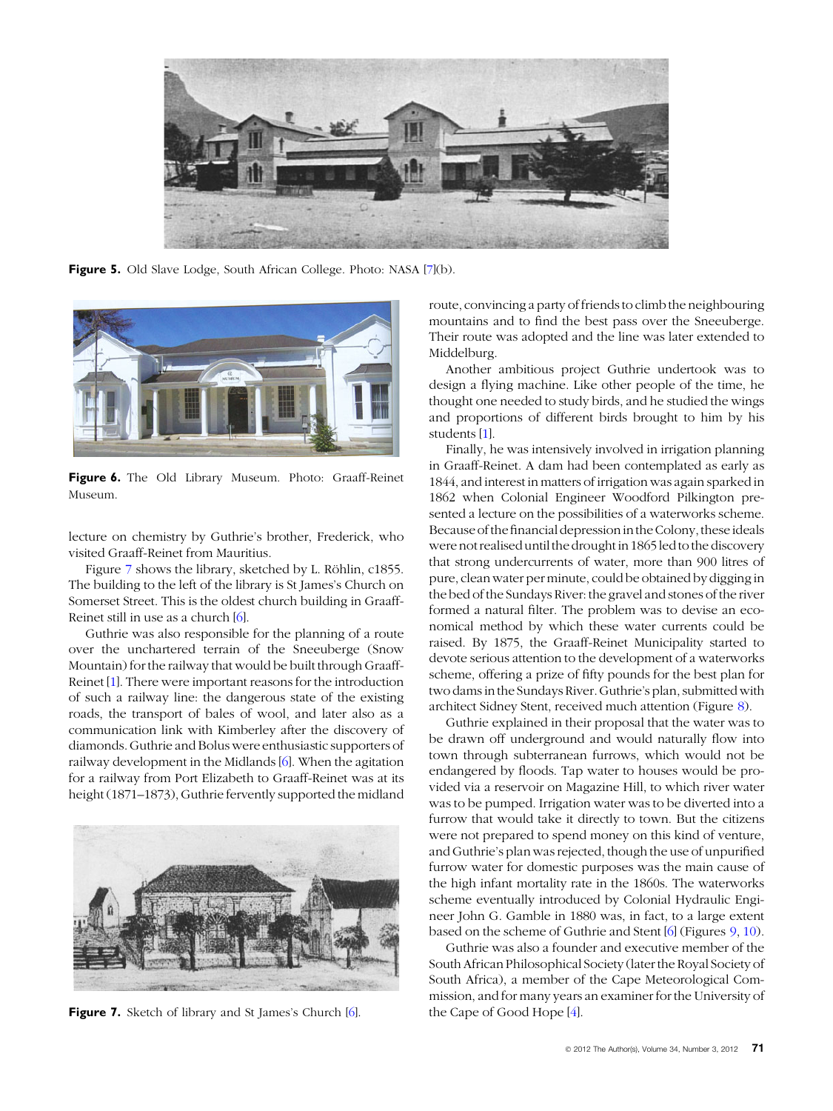<span id="page-4-0"></span>

Figure 5. Old Slave Lodge, South African College. Photo: NASA [\[7\]](#page-8-0)(b).



Figure 6. The Old Library Museum. Photo: Graaff-Reinet Museum.

lecture on chemistry by Guthrie's brother, Frederick, who visited Graaff-Reinet from Mauritius.

Figure 7 shows the library, sketched by L. Röhlin, c1855. The building to the left of the library is St James's Church on Somerset Street. This is the oldest church building in Graaff-Reinet still in use as a church [\[6](#page-8-0)].

Guthrie was also responsible for the planning of a route over the unchartered terrain of the Sneeuberge (Snow Mountain) for the railway that would be built through Graaff-Reinet [\[1](#page-8-0)]. There were important reasons for the introduction of such a railway line: the dangerous state of the existing roads, the transport of bales of wool, and later also as a communication link with Kimberley after the discovery of diamonds. Guthrie and Bolus were enthusiastic supporters of railway development in the Midlands [\[6\]](#page-8-0). When the agitation for a railway from Port Elizabeth to Graaff-Reinet was at its height (1871–1873), Guthrie fervently supported themidland



Figure 7. Sketch of library and St James's Church [[6](#page-8-0)].

route, convincing a party of friends to climb the neighbouring mountains and to find the best pass over the Sneeuberge. Their route was adopted and the line was later extended to Middelburg.

Another ambitious project Guthrie undertook was to design a flying machine. Like other people of the time, he thought one needed to study birds, and he studied the wings and proportions of different birds brought to him by his students [[1\]](#page-8-0).

Finally, he was intensively involved in irrigation planning in Graaff-Reinet. A dam had been contemplated as early as 1844, and interest in matters of irrigation was again sparked in 1862 when Colonial Engineer Woodford Pilkington presented a lecture on the possibilities of a waterworks scheme. Because of the financial depression in the Colony, these ideals were not realised until the drought in 1865 led to the discovery that strong undercurrents of water, more than 900 litres of pure, clean water per minute, could be obtained by digging in the bed of the Sundays River: the gravel and stones of the river formed a natural filter. The problem was to devise an economical method by which these water currents could be raised. By 1875, the Graaff-Reinet Municipality started to devote serious attention to the development of a waterworks scheme, offering a prize of fifty pounds for the best plan for two dams in the Sundays River. Guthrie's plan, submitted with architect Sidney Stent, received much attention (Figure [8\)](#page-5-0).

Guthrie explained in their proposal that the water was to be drawn off underground and would naturally flow into town through subterranean furrows, which would not be endangered by floods. Tap water to houses would be provided via a reservoir on Magazine Hill, to which river water was to be pumped. Irrigation water was to be diverted into a furrow that would take it directly to town. But the citizens were not prepared to spend money on this kind of venture, and Guthrie's planwas rejected, though the use of unpurified furrow water for domestic purposes was the main cause of the high infant mortality rate in the 1860s. The waterworks scheme eventually introduced by Colonial Hydraulic Engineer John G. Gamble in 1880 was, in fact, to a large extent based on the scheme of Guthrie and Stent [[6](#page-8-0)] (Figures [9](#page-5-0), [10](#page-5-0)).

Guthrie was also a founder and executive member of the South African Philosophical Society (later the Royal Society of South Africa), a member of the Cape Meteorological Commission, and for many years an examiner for the University of the Cape of Good Hope [[4](#page-8-0)].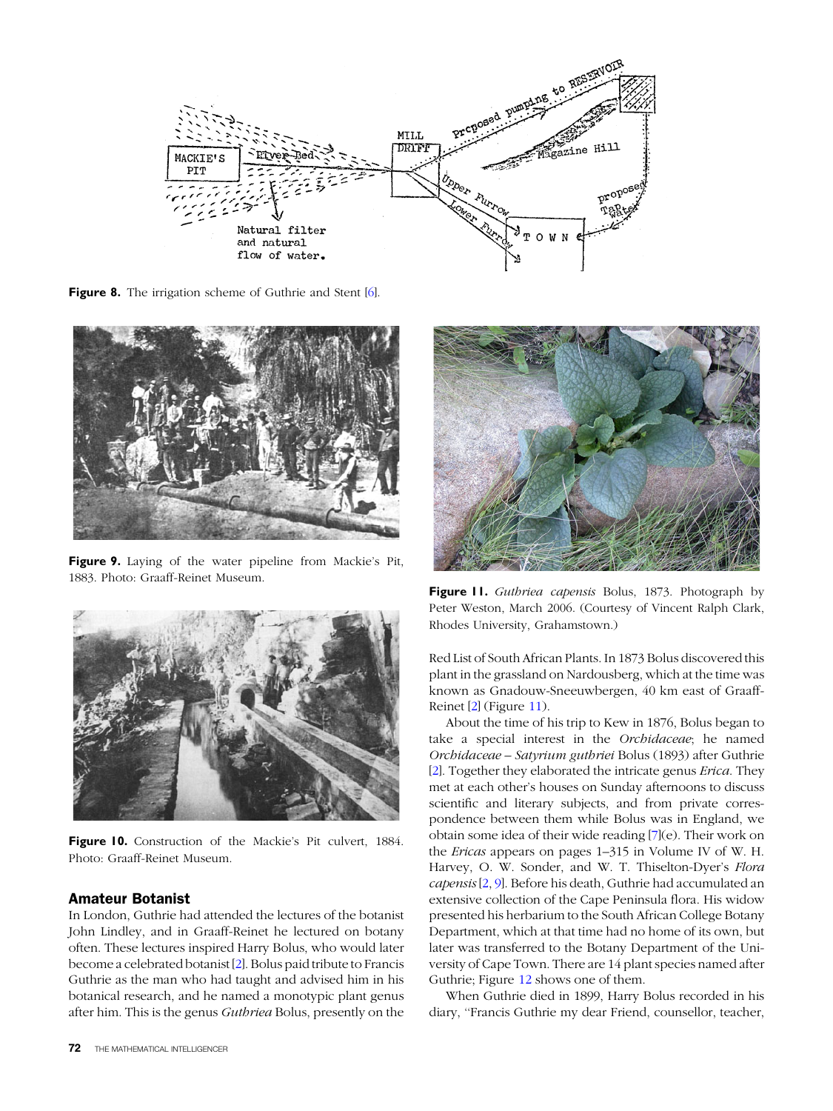<span id="page-5-0"></span>

Figure 8. The irrigation scheme of Guthrie and Stent [\[6\]](#page-8-0).



Figure 9. Laying of the water pipeline from Mackie's Pit, 1883. Photo: Graaff-Reinet Museum.



Figure 10. Construction of the Mackie's Pit culvert, 1884. Photo: Graaff-Reinet Museum.

#### Amateur Botanist

In London, Guthrie had attended the lectures of the botanist John Lindley, and in Graaff-Reinet he lectured on botany often. These lectures inspired Harry Bolus, who would later become a celebrated botanist [[2](#page-8-0)]. Bolus paid tribute to Francis Guthrie as the man who had taught and advised him in his botanical research, and he named a monotypic plant genus after him. This is the genus Guthriea Bolus, presently on the



Figure 11. Guthriea capensis Bolus, 1873. Photograph by Peter Weston, March 2006. (Courtesy of Vincent Ralph Clark, Rhodes University, Grahamstown.)

Red List of SouthAfrican Plants. In 1873 Bolus discovered this plant in the grassland on Nardousberg, which at the time was known as Gnadouw-Sneeuwbergen, 40 km east of Graaff-Reinet [[2](#page-8-0)] (Figure 11).

About the time of his trip to Kew in 1876, Bolus began to take a special interest in the Orchidaceae; he named Orchidaceae – Satyrium guthriei Bolus (1893) after Guthrie [\[2\]](#page-8-0). Together they elaborated the intricate genus Erica. They met at each other's houses on Sunday afternoons to discuss scientific and literary subjects, and from private correspondence between them while Bolus was in England, we obtain some idea of their wide reading [[7](#page-8-0)](e). Their work on the Ericas appears on pages 1–315 in Volume IV of W. H. Harvey, O. W. Sonder, and W. T. Thiselton-Dyer's Flora capensis [[2](#page-8-0), [9\]](#page-8-0). Before his death, Guthrie had accumulated an extensive collection of the Cape Peninsula flora. His widow presented his herbarium to the South African College Botany Department, which at that time had no home of its own, but later was transferred to the Botany Department of the University of Cape Town. There are 14 plant species named after Guthrie; Figure [12](#page-6-0) shows one of them.

When Guthrie died in 1899, Harry Bolus recorded in his diary, ''Francis Guthrie my dear Friend, counsellor, teacher,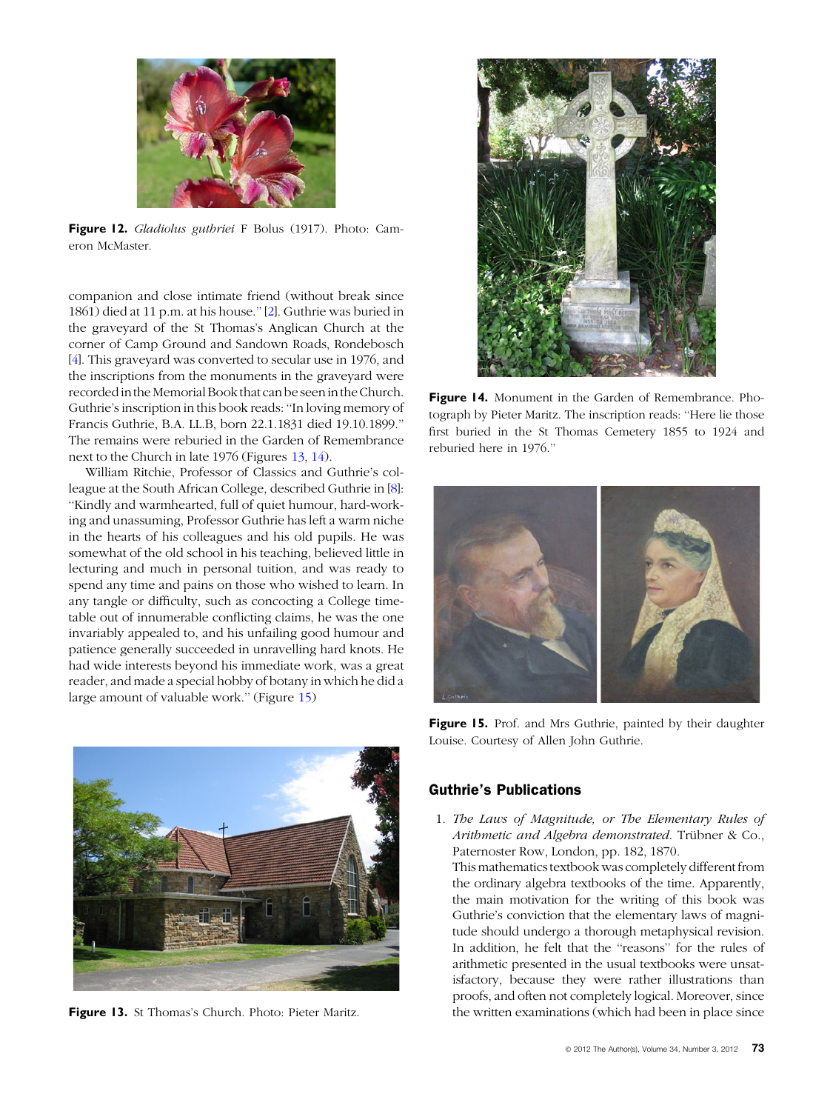<span id="page-6-0"></span>

Figure 12. Gladiolus guthriei F Bolus (1917). Photo: Cameron McMaster.

companion and close intimate friend (without break since 1861) died at 11 p.m. at his house.'' [[2\]](#page-8-0). Guthrie was buried in the graveyard of the St Thomas's Anglican Church at the corner of Camp Ground and Sandown Roads, Rondebosch [\[4\]](#page-8-0). This graveyard was converted to secular use in 1976, and the inscriptions from the monuments in the graveyard were recorded in the Memorial Book that can be seen in the Church. Guthrie's inscription in this book reads: ''In loving memory of Francis Guthrie, B.A. LL.B, born 22.1.1831 died 19.10.1899.'' The remains were reburied in the Garden of Remembrance next to the Church in late 1976 (Figures 13, 14).

William Ritchie, Professor of Classics and Guthrie's colleague at the South African College, described Guthrie in [[8](#page-8-0)]: ''Kindly and warmhearted, full of quiet humour, hard-working and unassuming, Professor Guthrie has left a warm niche in the hearts of his colleagues and his old pupils. He was somewhat of the old school in his teaching, believed little in lecturing and much in personal tuition, and was ready to spend any time and pains on those who wished to learn. In any tangle or difficulty, such as concocting a College timetable out of innumerable conflicting claims, he was the one invariably appealed to, and his unfailing good humour and patience generally succeeded in unravelling hard knots. He had wide interests beyond his immediate work, was a great reader, and made a special hobby of botany in which he did a large amount of valuable work.'' (Figure 15)



Figure 13. St Thomas's Church. Photo: Pieter Maritz.



Figure 14. Monument in the Garden of Remembrance. Photograph by Pieter Maritz. The inscription reads: ''Here lie those first buried in the St Thomas Cemetery 1855 to 1924 and reburied here in 1976.''



Figure 15. Prof. and Mrs Guthrie, painted by their daughter Louise. Courtesy of Allen John Guthrie.

# Guthrie's Publications

1. The Laws of Magnitude, or The Elementary Rules of Arithmetic and Algebra demonstrated. Trübner & Co., Paternoster Row, London, pp. 182, 1870.

This mathematics textbook was completely different from the ordinary algebra textbooks of the time. Apparently, the main motivation for the writing of this book was Guthrie's conviction that the elementary laws of magnitude should undergo a thorough metaphysical revision. In addition, he felt that the ''reasons'' for the rules of arithmetic presented in the usual textbooks were unsatisfactory, because they were rather illustrations than proofs, and often not completely logical. Moreover, since the written examinations (which had been in place since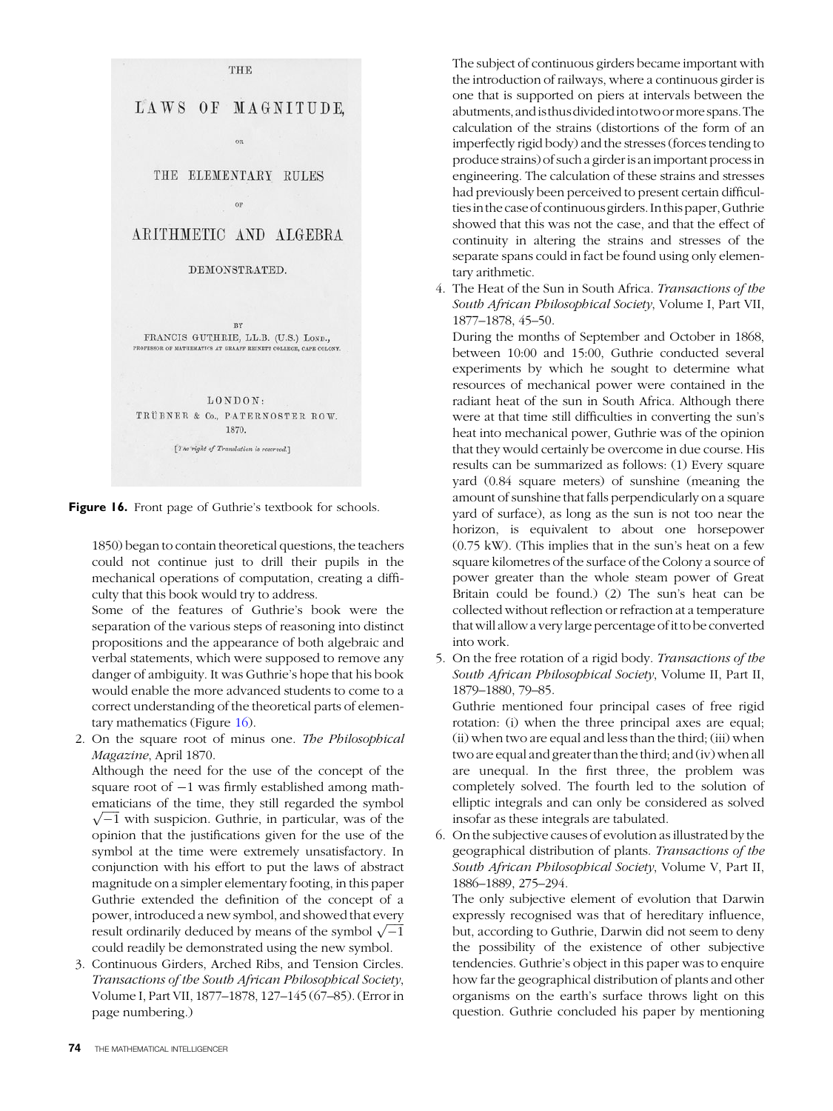

Figure 16. Front page of Guthrie's textbook for schools.

1850) began to contain theoretical questions, the teachers could not continue just to drill their pupils in the mechanical operations of computation, creating a difficulty that this book would try to address.

Some of the features of Guthrie's book were the separation of the various steps of reasoning into distinct propositions and the appearance of both algebraic and verbal statements, which were supposed to remove any danger of ambiguity. It was Guthrie's hope that his book would enable the more advanced students to come to a correct understanding of the theoretical parts of elementary mathematics (Figure 16).

2. On the square root of minus one. The Philosophical Magazine, April 1870.

Although the need for the use of the concept of the square root of  $-1$  was firmly established among mathematicians of the time, they still regarded the symbol ematicians of the time, they sulf regarded the symbol  $\sqrt{-1}$  with suspicion. Guthrie, in particular, was of the opinion that the justifications given for the use of the symbol at the time were extremely unsatisfactory. In conjunction with his effort to put the laws of abstract magnitude on a simpler elementary footing, in this paper Guthrie extended the definition of the concept of a power, introduced a new symbol, and showed that every power, introduced a new symbol, and showed that every<br>result ordinarily deduced by means of the symbol  $\sqrt{-1}$ could readily be demonstrated using the new symbol.

3. Continuous Girders, Arched Ribs, and Tension Circles. Transactions of the South African Philosophical Society, Volume I, Part VII, 1877–1878, 127–145 (67–85). (Error in page numbering.)

The subject of continuous girders became important with the introduction of railways, where a continuous girder is one that is supported on piers at intervals between the abutments,andisthusdividedintotwoormorespans.The calculation of the strains (distortions of the form of an imperfectly rigid body) and the stresses (forces tending to produce strains) of such a girder is an important process in engineering. The calculation of these strains and stresses had previously been perceived to present certain difficultiesinthecaseofcontinuousgirders.Inthispaper,Guthrie showed that this was not the case, and that the effect of continuity in altering the strains and stresses of the separate spans could in fact be found using only elementary arithmetic.

4. The Heat of the Sun in South Africa. Transactions of the South African Philosophical Society, Volume I, Part VII, 1877–1878, 45–50.

During the months of September and October in 1868, between 10:00 and 15:00, Guthrie conducted several experiments by which he sought to determine what resources of mechanical power were contained in the radiant heat of the sun in South Africa. Although there were at that time still difficulties in converting the sun's heat into mechanical power, Guthrie was of the opinion that they would certainly be overcome in due course. His results can be summarized as follows: (1) Every square yard (0.84 square meters) of sunshine (meaning the amount of sunshine that falls perpendicularly on a square yard of surface), as long as the sun is not too near the horizon, is equivalent to about one horsepower (0.75 kW). (This implies that in the sun's heat on a few square kilometres of the surface of the Colony a source of power greater than the whole steam power of Great Britain could be found.) (2) The sun's heat can be collected without reflection or refraction at a temperature that will allow a very large percentage of it to be converted into work.

5. On the free rotation of a rigid body. Transactions of the South African Philosophical Society, Volume II, Part II, 1879–1880, 79–85.

Guthrie mentioned four principal cases of free rigid rotation: (i) when the three principal axes are equal; (ii) when two are equal and less than the third; (iii) when two are equal and greater than the third; and (iv) when all are unequal. In the first three, the problem was completely solved. The fourth led to the solution of elliptic integrals and can only be considered as solved insofar as these integrals are tabulated.

6. On the subjective causes of evolution as illustrated by the geographical distribution of plants. Transactions of the South African Philosophical Society, Volume V, Part II, 1886–1889, 275–294.

The only subjective element of evolution that Darwin expressly recognised was that of hereditary influence, but, according to Guthrie, Darwin did not seem to deny the possibility of the existence of other subjective tendencies. Guthrie's object in this paper was to enquire how far the geographical distribution of plants and other organisms on the earth's surface throws light on this question. Guthrie concluded his paper by mentioning